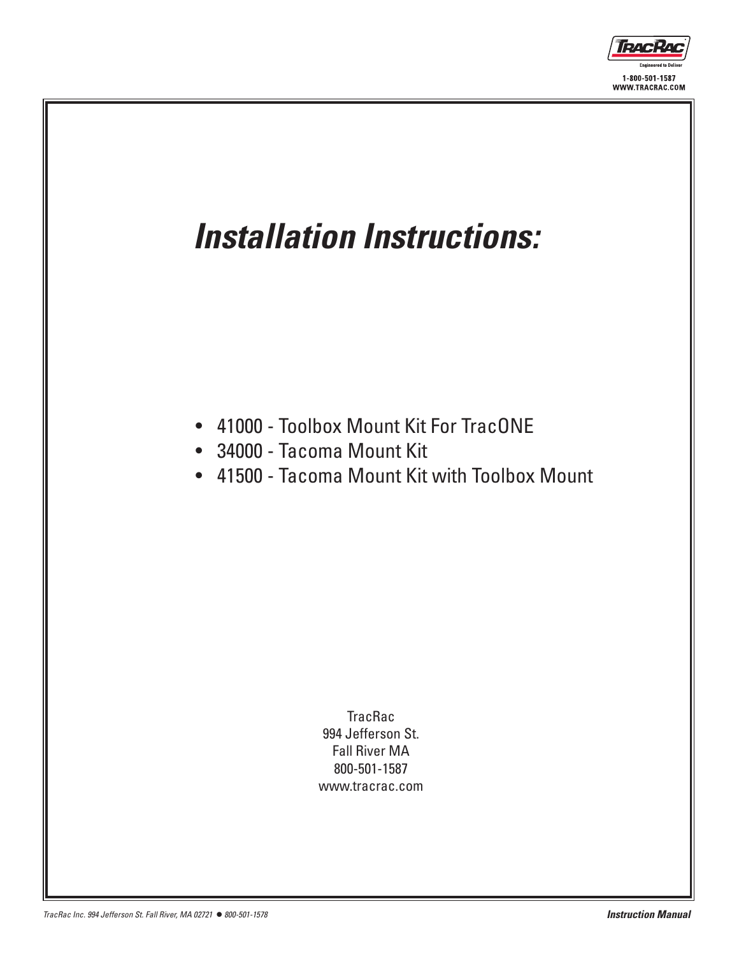

## *Installation Instructions:*

- • 41000 Toolbox Mount Kit For TracONE
- • 34000 Tacoma Mount Kit
- • 41500 Tacoma Mount Kit with Toolbox Mount

**TracRac** 994 Jefferson St. Fall River MA 800-501-1587 www.tracrac.com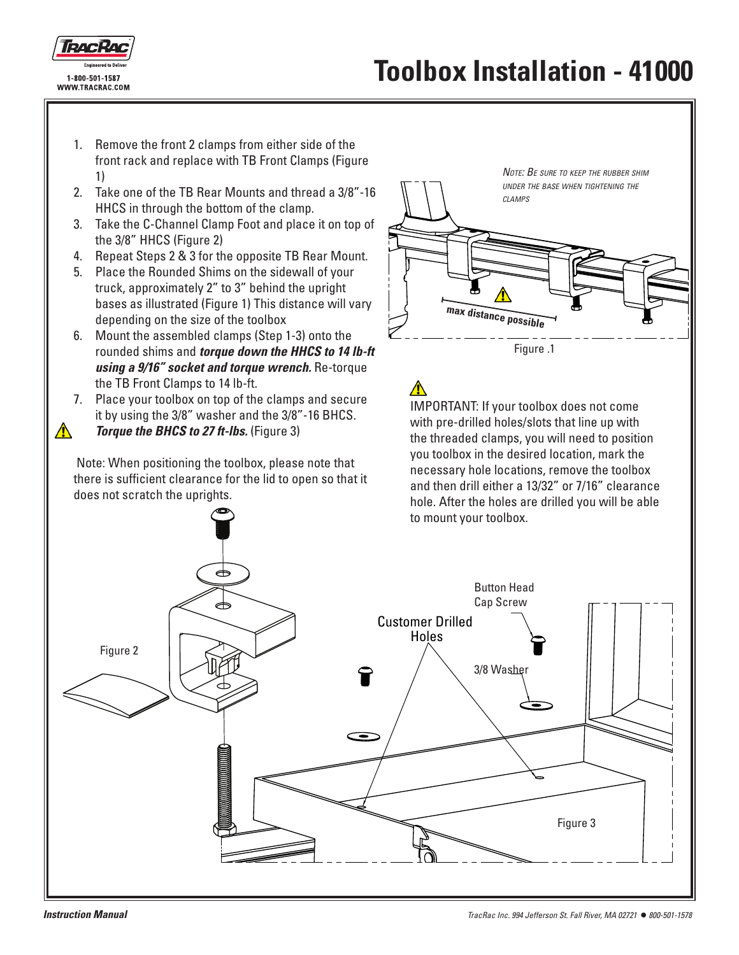

⚠

- 1. Remove the front 2 clamps from either side of the front rack and replace with TB Front Clamps (Figure 1)
- 2. Take one of the TB Rear Mounts and thread a 3/8"-16 HHCS in through the bottom of the clamp.
- 3. Take the C-Channel Clamp Foot and place it on top of the 3/8" HHCS (Figure 2)
- 4. Repeat Steps 2 & 3 for the opposite TB Rear Mount.
- 5. Place the Rounded Shims on the sidewall of your truck, approximately 2" to 3" behind the upright bases as illustrated (Figure 1) This distance will vary depending on the size of the toolbox
- 6. Mount the assembled clamps (Step 1-3) onto the rounded shims and *torque down the HHCS to 14 lb-ft using a 9/16" socket and torque wrench.* Re-torque the TB Front Clamps to 14 lb-ft.
- 7. Place your toolbox on top of the clamps and secure it by using the 3/8" washer and the 3/8"-16 BHCS. *Torque the BHCS to 27 ft-lbs.* (Figure 3)

 Note: When positioning the toolbox, please note that there is sufficient clearance for the lid to open so that it does not scratch the uprights.



IMPORTANT: If your toolbox does not come with pre-drilled holes/slots that line up with the threaded clamps, you will need to position you toolbox in the desired location, mark the necessary hole locations, remove the toolbox and then drill either a 13/32" or 7/16" clearance hole. After the holes are drilled you will be able to mount your toolbox.

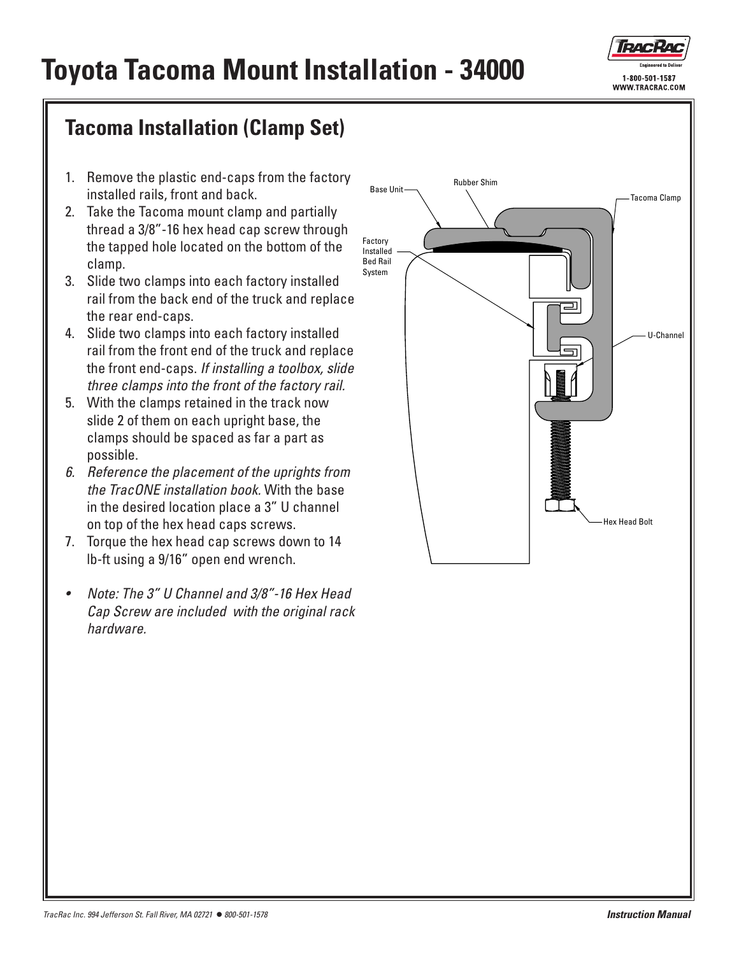

## **Toyota Tacoma Mount Installation - 34000**

## **Tacoma Installation (Clamp Set)**

- 1. Remove the plastic end-caps from the factory installed rails, front and back.
- 2. Take the Tacoma mount clamp and partially thread a 3/8"-16 hex head cap screw through the tapped hole located on the bottom of the clamp.
- 3. Slide two clamps into each factory installed rail from the back end of the truck and replace the rear end-caps.
- 4. Slide two clamps into each factory installed rail from the front end of the truck and replace the front end-caps. *If installing a toolbox, slide three clamps into the front of the factory rail.*
- 5. With the clamps retained in the track now slide 2 of them on each upright base, the clamps should be spaced as far a part as possible.
- *6. Reference the placement of the uprights from the TracONE installation book.* With the base in the desired location place a 3" U channel on top of the hex head caps screws.
- 7. Torque the hex head cap screws down to 14 lb-ft using a 9/16" open end wrench.
- • *Note: The 3" U Channel and 3/8"-16 Hex Head Cap Screw are included with the original rack hardware.*